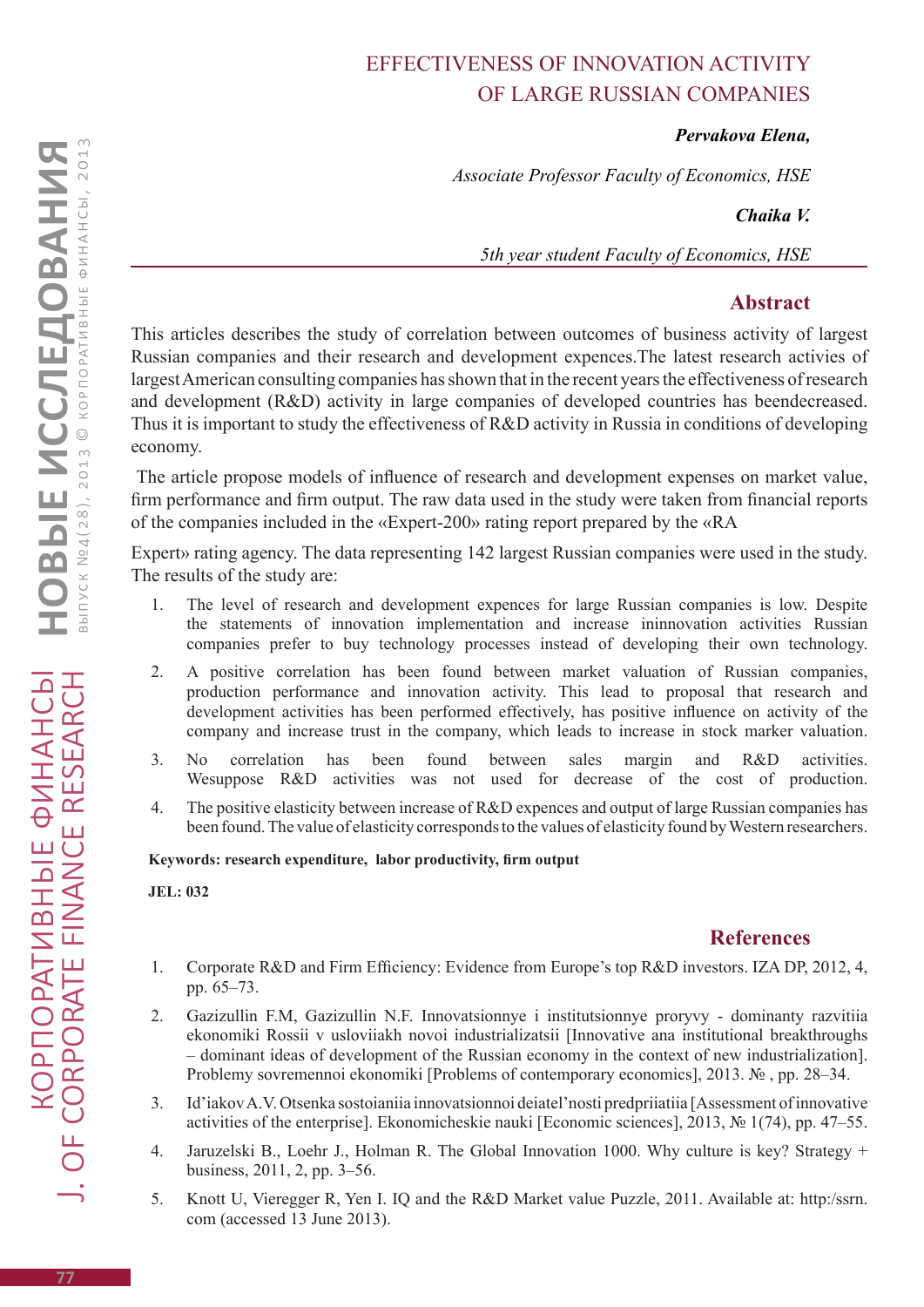# Effectiveness of innovation activity of large Russian companies

#### *Pervakova Elena,*

*Associate Professor Faculty of Economics, HSE* 

*Chaika V.*

*5th year student Faculty of Economics, HSE* 

## **Abstract**

This articles describes the study of correlation between outcomes of business activity of largest Russian companies and their research and development expences.The latest research activies of largest American consulting companies has shown that in the recent years the effectiveness of research and development (R&D) activity in large companies of developed countries has beendecreased. Thus it is important to study the effectiveness of R&D activity in Russia in conditions of developing economy.

 The article propose models of influence of research and development expenses on market value, firm performance and firm output. The raw data used in the study were taken from financial reports of the companies included in the «Expert-200» rating report prepared by the «RA

Expert» rating agency. The data representing 142 largest Russian companies were used in the study. The results of the study are:

- 1. The level of research and development expences for large Russian companies is low. Despite the statements of innovation implementation and increase ininnovation activities Russian companies prefer to buy technology processes instead of developing their own technology.
- 2. A positive correlation has been found between market valuation of Russian companies, production performance and innovation activity. This lead to proposal that research and development activities has been performed effectively, has positive influence on activity of the company and increase trust in the company, which leads to increase in stock marker valuation.
- 3. No correlation has been found between sales margin and R&D activities. Wesuppose R&D activities was not used for decrease of the cost of production.
- 4. The positive elasticity between increase of R&D expences and output of large Russian companies has been found. The value of elasticity corresponds to the values of elasticity found by Western researchers.

#### **Keywords: research expenditure, labor productivity, firm output**

**JEL: 032**

### **References**

- 1. Corporate R&D and Firm Efficiency: Evidence from Europe's top R&D investors. IZA DP, 2012, 4, pp. 65–73.
- 2. Gazizullin F.M, Gazizullin N.F. Innovatsionnye i institutsionnye proryvy dominanty razvitiia ekonomiki Rossii v usloviiakh novoi industrializatsii [Innovative ana institutional breakthroughs – dominant ideas of development of the Russian economy in the context of new industrialization]. Problemy sovremennoi ekonomiki [Problems of contemporary economics], 2013. № , pp. 28–34.
- 3. Id'iakov A.V. Otsenka sostoianiia innovatsionnoi deiatel'nosti predpriiatiia [Assessment of innovative activities of the enterprise]. Ekonomicheskie nauki [Economic sciences], 2013, № 1(74), pp. 47–55.
- 4. Jaruzelski B., Loehr J., Holman R. The Global Innovation 1000. Why culture is key? Strategy + business, 2011, 2, pp. 3–56.
- 5. Knott U, Vieregger R, Yen I. IQ and the R&D Market value Puzzle, 2011. Available at: http:/ssrn. com (accessed 13 June 2013).